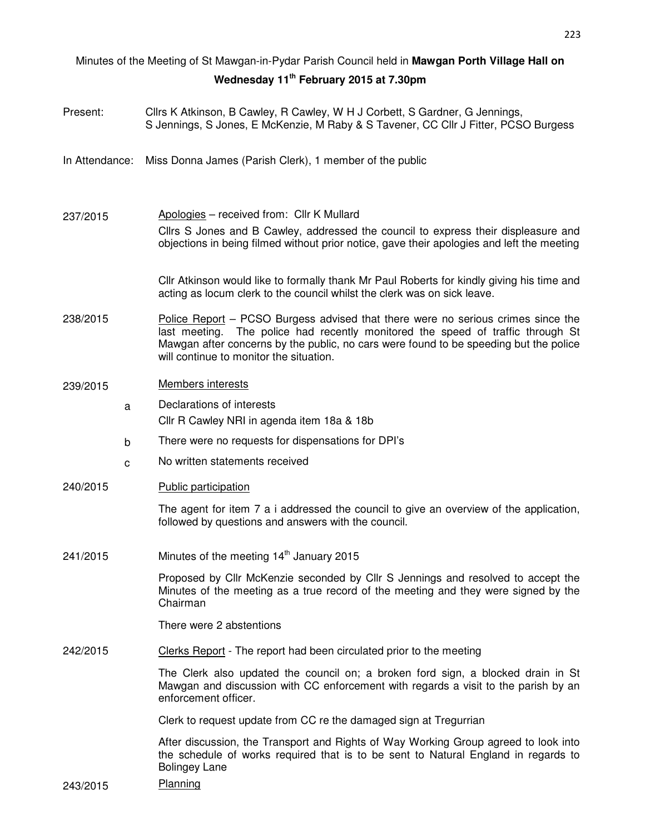# Minutes of the Meeting of St Mawgan-in-Pydar Parish Council held in **Mawgan Porth Village Hall on Wednesday 11th February 2015 at 7.30pm**

| Present:       |   | Cllrs K Atkinson, B Cawley, R Cawley, W H J Corbett, S Gardner, G Jennings,<br>S Jennings, S Jones, E McKenzie, M Raby & S Tavener, CC Cllr J Fitter, PCSO Burgess                                                                                                                                         |  |  |  |
|----------------|---|------------------------------------------------------------------------------------------------------------------------------------------------------------------------------------------------------------------------------------------------------------------------------------------------------------|--|--|--|
| In Attendance: |   | Miss Donna James (Parish Clerk), 1 member of the public                                                                                                                                                                                                                                                    |  |  |  |
| 237/2015       |   | Apologies - received from: Cllr K Mullard<br>Cllrs S Jones and B Cawley, addressed the council to express their displeasure and<br>objections in being filmed without prior notice, gave their apologies and left the meeting                                                                              |  |  |  |
|                |   | CIIr Atkinson would like to formally thank Mr Paul Roberts for kindly giving his time and<br>acting as locum clerk to the council whilst the clerk was on sick leave.                                                                                                                                      |  |  |  |
| 238/2015       |   | Police Report – PCSO Burgess advised that there were no serious crimes since the<br>The police had recently monitored the speed of traffic through St<br>last meeting.<br>Mawgan after concerns by the public, no cars were found to be speeding but the police<br>will continue to monitor the situation. |  |  |  |
| 239/2015       |   | <b>Members interests</b>                                                                                                                                                                                                                                                                                   |  |  |  |
|                | a | Declarations of interests<br>Cllr R Cawley NRI in agenda item 18a & 18b                                                                                                                                                                                                                                    |  |  |  |
|                | b | There were no requests for dispensations for DPI's                                                                                                                                                                                                                                                         |  |  |  |
|                | C | No written statements received                                                                                                                                                                                                                                                                             |  |  |  |
| 240/2015       |   | Public participation                                                                                                                                                                                                                                                                                       |  |  |  |
|                |   | The agent for item 7 a i addressed the council to give an overview of the application,<br>followed by questions and answers with the council.                                                                                                                                                              |  |  |  |
| 241/2015       |   | Minutes of the meeting 14 <sup>th</sup> January 2015                                                                                                                                                                                                                                                       |  |  |  |
|                |   | Proposed by Cllr McKenzie seconded by Cllr S Jennings and resolved to accept the<br>Minutes of the meeting as a true record of the meeting and they were signed by the<br>Chairman                                                                                                                         |  |  |  |
|                |   | There were 2 abstentions                                                                                                                                                                                                                                                                                   |  |  |  |
| 242/2015       |   | Clerks Report - The report had been circulated prior to the meeting                                                                                                                                                                                                                                        |  |  |  |
|                |   | The Clerk also updated the council on; a broken ford sign, a blocked drain in St<br>Mawgan and discussion with CC enforcement with regards a visit to the parish by an<br>enforcement officer.                                                                                                             |  |  |  |
|                |   | Clerk to request update from CC re the damaged sign at Tregurrian                                                                                                                                                                                                                                          |  |  |  |
|                |   | After discussion, the Transport and Rights of Way Working Group agreed to look into<br>the schedule of works required that is to be sent to Natural England in regards to<br><b>Bolingey Lane</b>                                                                                                          |  |  |  |

243/2015 Planning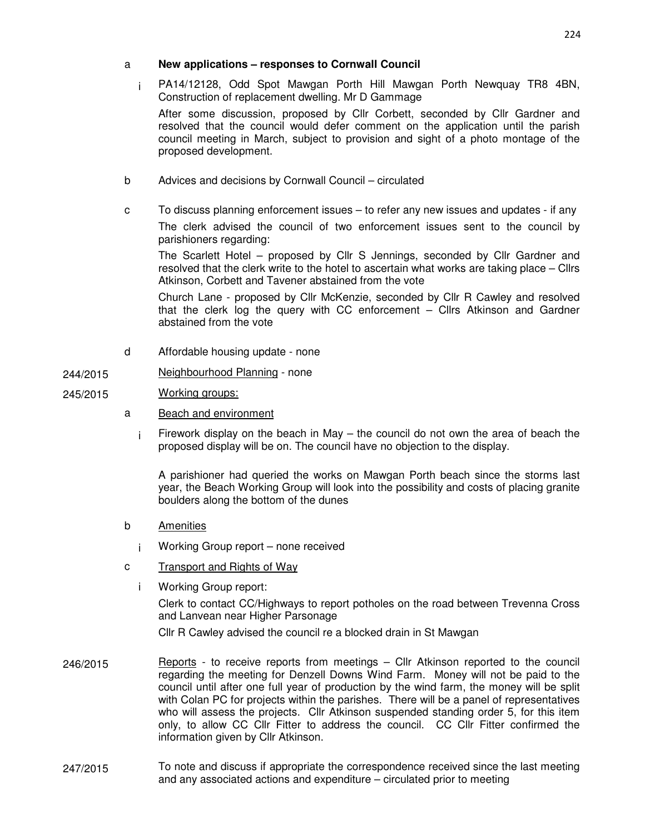#### a **New applications – responses to Cornwall Council**

i PA14/12128, Odd Spot Mawgan Porth Hill Mawgan Porth Newquay TR8 4BN, Construction of replacement dwelling. Mr D Gammage

After some discussion, proposed by Cllr Corbett, seconded by Cllr Gardner and resolved that the council would defer comment on the application until the parish council meeting in March, subject to provision and sight of a photo montage of the proposed development.

- b Advices and decisions by Cornwall Council circulated
- c To discuss planning enforcement issues to refer any new issues and updates if any The clerk advised the council of two enforcement issues sent to the council by

parishioners regarding:

The Scarlett Hotel – proposed by Cllr S Jennings, seconded by Cllr Gardner and resolved that the clerk write to the hotel to ascertain what works are taking place – Cllrs Atkinson, Corbett and Tavener abstained from the vote

Church Lane - proposed by Cllr McKenzie, seconded by Cllr R Cawley and resolved that the clerk log the query with CC enforcement – Cllrs Atkinson and Gardner abstained from the vote

d Affordable housing update - none

## 244/2015 Neighbourhood Planning - none

#### 245/2015 Working groups:

- a Beach and environment
	- i Firework display on the beach in May the council do not own the area of beach the proposed display will be on. The council have no objection to the display.

A parishioner had queried the works on Mawgan Porth beach since the storms last year, the Beach Working Group will look into the possibility and costs of placing granite boulders along the bottom of the dunes

- b Amenities
	- i Working Group report none received
- c Transport and Rights of Way
	- i Working Group report:

Clerk to contact CC/Highways to report potholes on the road between Trevenna Cross and Lanvean near Higher Parsonage

Cllr R Cawley advised the council re a blocked drain in St Mawgan

- 246/2015 Reports to receive reports from meetings Cllr Atkinson reported to the council regarding the meeting for Denzell Downs Wind Farm. Money will not be paid to the council until after one full year of production by the wind farm, the money will be split with Colan PC for projects within the parishes. There will be a panel of representatives who will assess the projects. Cllr Atkinson suspended standing order 5, for this item only, to allow CC Cllr Fitter to address the council. CC Cllr Fitter confirmed the information given by Cllr Atkinson.
- 247/2015 To note and discuss if appropriate the correspondence received since the last meeting and any associated actions and expenditure – circulated prior to meeting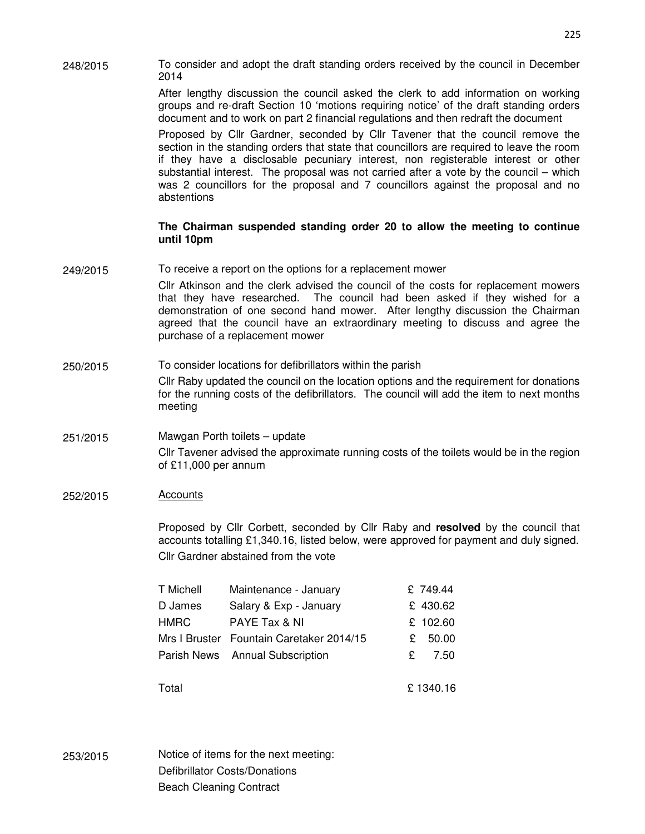248/2015 To consider and adopt the draft standing orders received by the council in December 2014

> After lengthy discussion the council asked the clerk to add information on working groups and re-draft Section 10 'motions requiring notice' of the draft standing orders document and to work on part 2 financial regulations and then redraft the document

> Proposed by Cllr Gardner, seconded by Cllr Tavener that the council remove the section in the standing orders that state that councillors are required to leave the room if they have a disclosable pecuniary interest, non registerable interest or other substantial interest. The proposal was not carried after a vote by the council – which was 2 councillors for the proposal and 7 councillors against the proposal and no abstentions

#### **The Chairman suspended standing order 20 to allow the meeting to continue until 10pm**

249/2015 To receive a report on the options for a replacement mower

Cllr Atkinson and the clerk advised the council of the costs for replacement mowers that they have researched. The council had been asked if they wished for a demonstration of one second hand mower. After lengthy discussion the Chairman agreed that the council have an extraordinary meeting to discuss and agree the purchase of a replacement mower

250/2015 To consider locations for defibrillators within the parish Cllr Raby updated the council on the location options and the requirement for donations for the running costs of the defibrillators. The council will add the item to next months meeting

### 251/2015 Mawgan Porth toilets – update Cllr Tavener advised the approximate running costs of the toilets would be in the region of £11,000 per annum

252/2015 Accounts

Proposed by Cllr Corbett, seconded by Cllr Raby and **resolved** by the council that accounts totalling £1,340.16, listed below, were approved for payment and duly signed. Cllr Gardner abstained from the vote

| T Michell   | Maintenance - January                    |    | £ 749.44 |
|-------------|------------------------------------------|----|----------|
| D James     | Salary & Exp - January                   |    | £ 430.62 |
| <b>HMRC</b> | PAYE Tax & NI                            |    | £ 102.60 |
|             | Mrs I Bruster Fountain Caretaker 2014/15 | £  | 50.00    |
|             | Parish News Annual Subscription          | £. | 7.50     |
|             |                                          |    |          |
| Total       |                                          |    | £1340.16 |

253/2015 Notice of items for the next meeting: Defibrillator Costs/Donations Beach Cleaning Contract